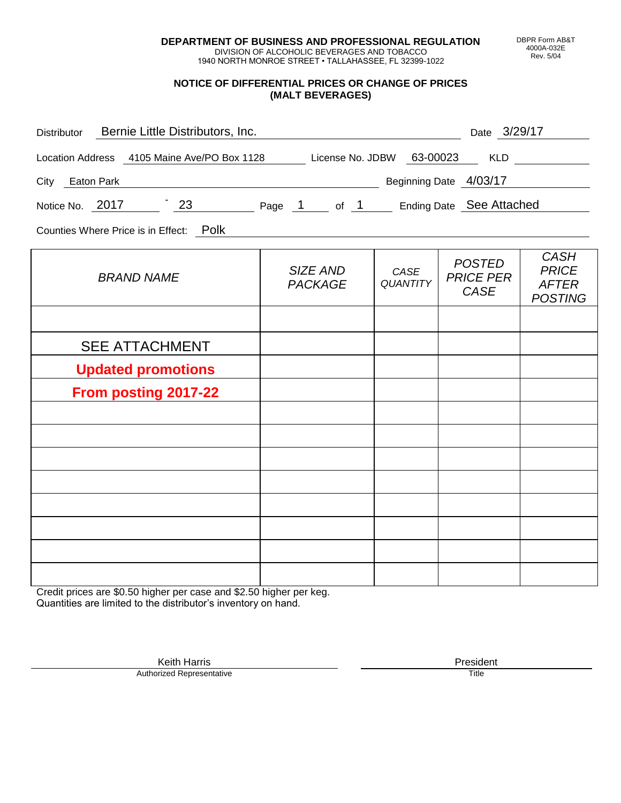**DEPARTMENT OF BUSINESS AND PROFESSIONAL REGULATION** DIVISION OF ALCOHOLIC BEVERAGES AND TOBACCO

1940 NORTH MONROE STREET • TALLAHASSEE, FL 32399-1022

#### **NOTICE OF DIFFERENTIAL PRICES OR CHANGE OF PRICES (MALT BEVERAGES)**

| Distributor Bernie Little Distributors, Inc.                              |                            |                         | Date 3/29/17                              |                                                               |
|---------------------------------------------------------------------------|----------------------------|-------------------------|-------------------------------------------|---------------------------------------------------------------|
| Location Address 4105 Maine Ave/PO Box 1128 License No. JDBW 63-00023 KLD |                            |                         |                                           |                                                               |
| City Eaton Park                                                           | Beginning Date 4/03/17     |                         |                                           |                                                               |
| Notice No. 2017 23 Page 1 of 1 Ending Date See Attached                   |                            |                         |                                           |                                                               |
| Counties Where Price is in Effect: Polk                                   |                            |                         |                                           |                                                               |
| <b>BRAND NAME</b>                                                         | SIZE AND<br><b>PACKAGE</b> | CASE<br><b>QUANTITY</b> | <b>POSTED</b><br><b>PRICE PER</b><br>CASE | <b>CASH</b><br><b>PRICE</b><br><b>AFTER</b><br><b>POSTING</b> |
|                                                                           |                            |                         |                                           |                                                               |
| <b>SEE ATTACHMENT</b>                                                     |                            |                         |                                           |                                                               |
| <b>Updated promotions</b>                                                 |                            |                         |                                           |                                                               |
| <b>From posting 2017-22</b>                                               |                            |                         |                                           |                                                               |
|                                                                           |                            |                         |                                           |                                                               |
|                                                                           |                            |                         |                                           |                                                               |
|                                                                           |                            |                         |                                           |                                                               |
|                                                                           |                            |                         |                                           |                                                               |
|                                                                           |                            |                         |                                           |                                                               |
|                                                                           |                            |                         |                                           |                                                               |
|                                                                           |                            |                         |                                           |                                                               |

Credit prices are \$0.50 higher per case and \$2.50 higher per keg. Quantities are limited to the distributor's inventory on hand.

> Keith Harris **President** President **President** President **President** President **President** Authorized Representative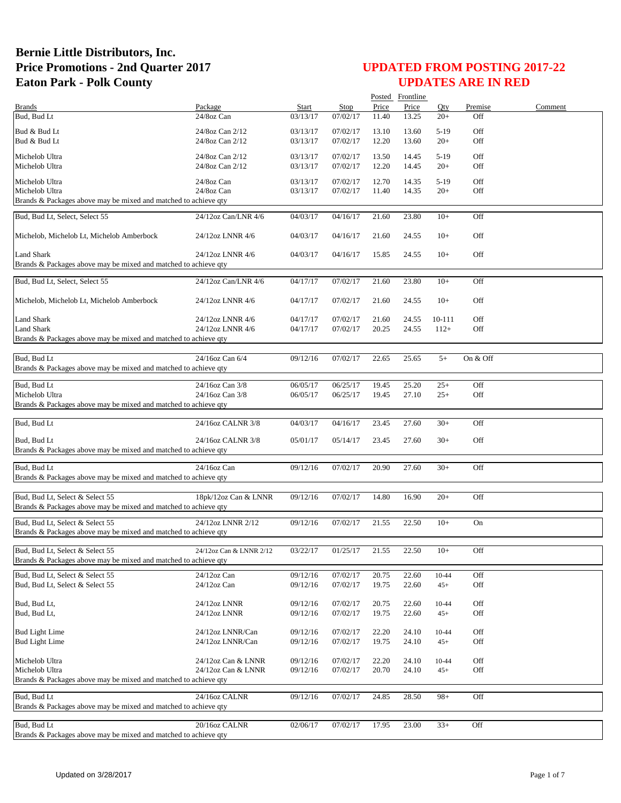|                                                                               |                                    |                      |                      |                | Posted Frontline |                 |            |         |
|-------------------------------------------------------------------------------|------------------------------------|----------------------|----------------------|----------------|------------------|-----------------|------------|---------|
| <b>Brands</b>                                                                 | Package                            | <b>Start</b>         | <b>Stop</b>          | Price          | Price            | Oty             | Premise    | Comment |
| Bud, Bud Lt                                                                   | 24/8oz Can                         | 03/13/17             | 07/02/17             | 11.40          | 13.25            | $20+$           | Off        |         |
| Bud & Bud Lt                                                                  | 24/8oz Can 2/12                    | 03/13/17             | 07/02/17             | 13.10          | 13.60            | $5-19$          | Off        |         |
| Bud & Bud Lt                                                                  | 24/8oz Can 2/12                    | 03/13/17             | 07/02/17             | 12.20          | 13.60            | $20+$           | Off        |         |
| Michelob Ultra<br>Michelob Ultra                                              | 24/8oz Can 2/12<br>24/8oz Can 2/12 | 03/13/17<br>03/13/17 | 07/02/17<br>07/02/17 | 13.50<br>12.20 | 14.45<br>14.45   | $5-19$<br>$20+$ | Off<br>Off |         |
|                                                                               |                                    |                      |                      |                |                  |                 |            |         |
| Michelob Ultra<br>Michelob Ultra                                              | 24/8oz Can<br>24/8oz Can           | 03/13/17<br>03/13/17 | 07/02/17<br>07/02/17 | 12.70<br>11.40 | 14.35<br>14.35   | $5-19$<br>$20+$ | Off<br>Off |         |
| Brands & Packages above may be mixed and matched to achieve qty               |                                    |                      |                      |                |                  |                 |            |         |
| Bud, Bud Lt, Select, Select 55                                                | 24/12oz Can/LNR 4/6                | 04/03/17             | 04/16/17             | 21.60          | 23.80            | $10+$           | Off        |         |
| Michelob, Michelob Lt, Michelob Amberbock                                     | 24/12oz LNNR 4/6                   | 04/03/17             | 04/16/17             | 21.60          | 24.55            | $10+$           | Off        |         |
| Land Shark<br>Brands & Packages above may be mixed and matched to achieve qty | 24/12oz LNNR 4/6                   | 04/03/17             | 04/16/17             | 15.85          | 24.55            | $10+$           | Off        |         |
| Bud, Bud Lt, Select, Select 55                                                | 24/12oz Can/LNR 4/6                | 04/17/17             | 07/02/17             | 21.60          | 23.80            | $10+$           | Off        |         |
| Michelob, Michelob Lt, Michelob Amberbock                                     | 24/12oz LNNR 4/6                   | 04/17/17             | 07/02/17             | 21.60          | 24.55            | $10+$           | Off        |         |
|                                                                               |                                    |                      |                      |                |                  |                 |            |         |
| <b>Land Shark</b>                                                             | 24/12oz LNNR 4/6                   | 04/17/17             | 07/02/17             | 21.60          | 24.55            | 10-111          | Off        |         |
| <b>Land Shark</b>                                                             | 24/12oz LNNR 4/6                   | 04/17/17             | 07/02/17             | 20.25          | 24.55            | $112+$          | Off        |         |
| Brands & Packages above may be mixed and matched to achieve qty               |                                    |                      |                      |                |                  |                 |            |         |
| Bud, Bud Lt                                                                   | 24/16oz Can 6/4                    | 09/12/16             | 07/02/17             | 22.65          | 25.65            | $5+$            | On & Off   |         |
| Brands & Packages above may be mixed and matched to achieve qty               |                                    |                      |                      |                |                  |                 |            |         |
|                                                                               |                                    |                      |                      |                |                  |                 |            |         |
| Bud, Bud Lt                                                                   | 24/16oz Can 3/8                    | 06/05/17             | 06/25/17             | 19.45          | 25.20            | $25+$           | Off        |         |
| Michelob Ultra                                                                | 24/16oz Can 3/8                    | 06/05/17             | 06/25/17             | 19.45          | 27.10            | $25+$           | Off        |         |
| Brands & Packages above may be mixed and matched to achieve qty               |                                    |                      |                      |                |                  |                 |            |         |
|                                                                               |                                    |                      |                      |                |                  |                 |            |         |
| Bud, Bud Lt                                                                   | 24/16oz CALNR 3/8                  | 04/03/17             | 04/16/17             | 23.45          | 27.60            | $30+$           | Off        |         |
| Bud, Bud Lt                                                                   | 24/16oz CALNR 3/8                  | 05/01/17             | 05/14/17             | 23.45          | 27.60            | $30+$           | Off        |         |
| Brands & Packages above may be mixed and matched to achieve qty               |                                    |                      |                      |                |                  |                 |            |         |
|                                                                               |                                    |                      |                      |                |                  |                 |            |         |
| Bud, Bud Lt                                                                   | 24/16oz Can                        | 09/12/16             | 07/02/17             | 20.90          | 27.60            | $30+$           | Off        |         |
| Brands & Packages above may be mixed and matched to achieve qty               |                                    |                      |                      |                |                  |                 |            |         |
|                                                                               |                                    |                      |                      |                |                  |                 |            |         |
| Bud, Bud Lt. Select & Select 55                                               | 18pk/12oz Can & LNNR               | 09/12/16             | 07/02/17             | 14.80          | 16.90            | $20+$           | Off        |         |
| Brands & Packages above may be mixed and matched to achieve qty               |                                    |                      |                      |                |                  |                 |            |         |
| Bud, Bud Lt, Select & Select 55                                               | 24/12oz LNNR 2/12                  | 09/12/16             | 07/02/17             | 21.55          | 22.50            | $10+$           | On         |         |
| Brands & Packages above may be mixed and matched to achieve qty               |                                    |                      |                      |                |                  |                 |            |         |
|                                                                               |                                    |                      |                      |                |                  |                 |            |         |
| Bud, Bud Lt, Select & Select 55                                               | 24/12oz Can & LNNR 2/12            | 03/22/17             | 01/25/17             | 21.55          | 22.50            | $10+$           | OĦ         |         |
| Brands & Packages above may be mixed and matched to achieve qty               |                                    |                      |                      |                |                  |                 |            |         |
| Bud, Bud Lt, Select & Select 55                                               | 24/12oz Can                        | 09/12/16             | 07/02/17             | 20.75          | 22.60            | 10-44           | Off        |         |
| Bud, Bud Lt, Select & Select 55                                               | 24/12oz Can                        | 09/12/16             | 07/02/17             | 19.75          | 22.60            | $45+$           | Off        |         |
|                                                                               |                                    |                      |                      |                |                  |                 |            |         |
| Bud, Bud Lt,                                                                  | 24/12oz LNNR                       | 09/12/16             | 07/02/17             | 20.75          | 22.60            | 10-44           | Off        |         |
| Bud, Bud Lt,                                                                  | 24/12oz LNNR                       | 09/12/16             | 07/02/17             | 19.75          | 22.60            | $45+$           | Off        |         |
|                                                                               |                                    |                      |                      |                |                  |                 |            |         |
| <b>Bud Light Lime</b>                                                         | 24/12oz LNNR/Can                   | 09/12/16             | 07/02/17             | 22.20          | 24.10            | 10-44           | Off        |         |
| <b>Bud Light Lime</b>                                                         | 24/12oz LNNR/Can                   | 09/12/16             | 07/02/17             | 19.75          | 24.10            | $45+$           | Off        |         |
|                                                                               |                                    |                      |                      |                |                  |                 |            |         |
| Michelob Ultra                                                                | 24/12oz Can & LNNR                 | 09/12/16             | 07/02/17             | 22.20          | 24.10            | 10-44           | Off        |         |
| Michelob Ultra                                                                | 24/12oz Can & LNNR                 | 09/12/16             | 07/02/17             | 20.70          | 24.10            | $45+$           | Off        |         |
| Brands & Packages above may be mixed and matched to achieve qty               |                                    |                      |                      |                |                  |                 |            |         |
| Bud, Bud Lt                                                                   | 24/16oz CALNR                      | 09/12/16             | 07/02/17             | 24.85          | 28.50            | $98+$           | Off        |         |
| Brands & Packages above may be mixed and matched to achieve qty               |                                    |                      |                      |                |                  |                 |            |         |
|                                                                               |                                    |                      |                      |                |                  |                 |            |         |
| Bud, Bud Lt                                                                   | 20/16oz CALNR                      | 02/06/17             | 07/02/17             | 17.95          | 23.00            | $33+$           | Off        |         |
| Brands & Packages above may be mixed and matched to achieve qty               |                                    |                      |                      |                |                  |                 |            |         |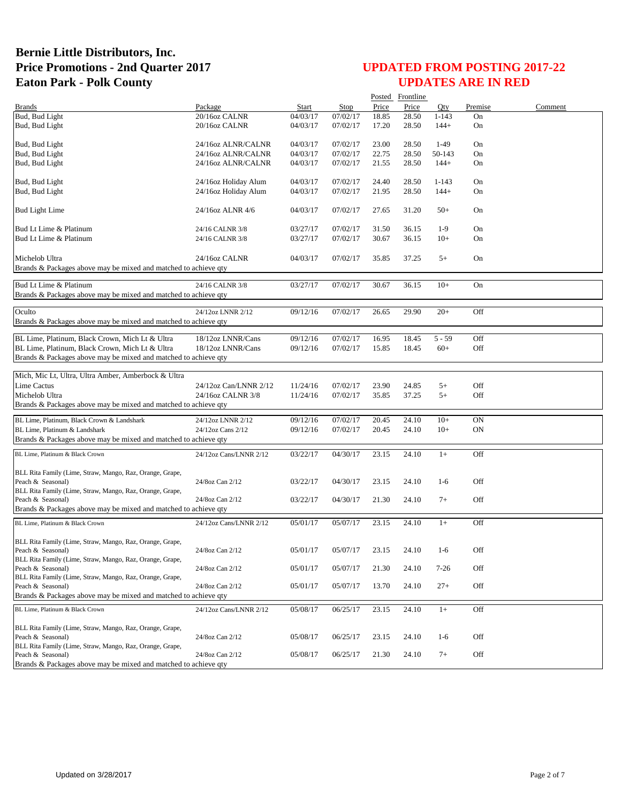## **UPDATED FROM POSTING 2017-22 UPDATES ARE IN RED**

|                                                                               |                        |          |          |       | Posted Frontline |           |           |         |
|-------------------------------------------------------------------------------|------------------------|----------|----------|-------|------------------|-----------|-----------|---------|
| <b>Brands</b>                                                                 | Package                | Start    | Stop     | Price | Price            | Oty       | Premise   | Comment |
| Bud, Bud Light                                                                | 20/16oz CALNR          | 04/03/17 | 07/02/17 | 18.85 | 28.50            | $1 - 143$ | On        |         |
| Bud, Bud Light                                                                | 20/16oz CALNR          | 04/03/17 | 07/02/17 | 17.20 | 28.50            | $144+$    | On        |         |
|                                                                               |                        | 04/03/17 |          |       |                  | $1-49$    |           |         |
| Bud, Bud Light                                                                | 24/16oz ALNR/CALNR     |          | 07/02/17 | 23.00 | 28.50            |           | On        |         |
| Bud, Bud Light                                                                | 24/16oz ALNR/CALNR     | 04/03/17 | 07/02/17 | 22.75 | 28.50            | 50-143    | On        |         |
| Bud, Bud Light                                                                | 24/16oz ALNR/CALNR     | 04/03/17 | 07/02/17 | 21.55 | 28.50            | $144+$    | On        |         |
| Bud, Bud Light                                                                | 24/16oz Holiday Alum   | 04/03/17 | 07/02/17 | 24.40 | 28.50            | $1 - 143$ | On        |         |
| Bud, Bud Light                                                                | 24/16oz Holiday Alum   | 04/03/17 | 07/02/17 | 21.95 | 28.50            | $144+$    | On        |         |
|                                                                               |                        |          |          |       |                  |           |           |         |
| <b>Bud Light Lime</b>                                                         | 24/16oz ALNR 4/6       | 04/03/17 | 07/02/17 | 27.65 | 31.20            | $50+$     | On        |         |
|                                                                               |                        |          |          |       |                  |           |           |         |
| Bud Lt Lime & Platinum                                                        | 24/16 CALNR 3/8        | 03/27/17 | 07/02/17 | 31.50 | 36.15            | $1-9$     | On        |         |
| Bud Lt Lime & Platinum                                                        | 24/16 CALNR 3/8        | 03/27/17 | 07/02/17 | 30.67 | 36.15            | $10+$     | On        |         |
| Michelob Ultra                                                                | 24/16oz CALNR          | 04/03/17 | 07/02/17 | 35.85 | 37.25            | $5+$      | On        |         |
| Brands & Packages above may be mixed and matched to achieve qty               |                        |          |          |       |                  |           |           |         |
|                                                                               |                        |          |          |       |                  |           |           |         |
| Bud Lt Lime & Platinum                                                        | 24/16 CALNR 3/8        | 03/27/17 | 07/02/17 | 30.67 | 36.15            | $10+$     | On        |         |
| Brands & Packages above may be mixed and matched to achieve gty               |                        |          |          |       |                  |           |           |         |
|                                                                               |                        |          |          |       |                  |           |           |         |
| Oculto                                                                        | 24/12oz LNNR 2/12      | 09/12/16 | 07/02/17 | 26.65 | 29.90            | $20+$     | Off       |         |
| Brands & Packages above may be mixed and matched to achieve gty               |                        |          |          |       |                  |           |           |         |
| BL Lime, Platinum, Black Crown, Mich Lt & Ultra                               | 18/12oz LNNR/Cans      | 09/12/16 | 07/02/17 | 16.95 | 18.45            | $5 - 59$  | Off       |         |
| BL Lime, Platinum, Black Crown, Mich Lt & Ultra                               | 18/12oz LNNR/Cans      | 09/12/16 | 07/02/17 | 15.85 | 18.45            | $60+$     | Off       |         |
| Brands & Packages above may be mixed and matched to achieve qty               |                        |          |          |       |                  |           |           |         |
|                                                                               |                        |          |          |       |                  |           |           |         |
| Mich, Mic Lt, Ultra, Ultra Amber, Amberbock & Ultra                           |                        |          |          |       |                  |           |           |         |
| <b>Lime Cactus</b>                                                            | 24/12oz Can/LNNR 2/12  | 11/24/16 | 07/02/17 | 23.90 | 24.85            | $5+$      | Off       |         |
| Michelob Ultra                                                                | 24/16oz CALNR 3/8      | 11/24/16 | 07/02/17 | 35.85 | 37.25            | $5+$      | Off       |         |
| Brands & Packages above may be mixed and matched to achieve qty               |                        |          |          |       |                  |           |           |         |
|                                                                               |                        |          |          |       |                  |           |           |         |
| BL Lime, Platinum, Black Crown & Landshark                                    | 24/12oz LNNR 2/12      | 09/12/16 | 07/02/17 | 20.45 | 24.10            | $10+$     | ON        |         |
| BL Lime, Platinum & Landshark                                                 | 24/12oz Cans 2/12      | 09/12/16 | 07/02/17 | 20.45 | 24.10            | $10+$     | <b>ON</b> |         |
| Brands & Packages above may be mixed and matched to achieve qty               |                        |          |          |       |                  |           |           |         |
| BL Lime, Platinum & Black Crown                                               | 24/12oz Cans/LNNR 2/12 | 03/22/17 | 04/30/17 | 23.15 | 24.10            | $1+$      | Off       |         |
|                                                                               |                        |          |          |       |                  |           |           |         |
| BLL Rita Family (Lime, Straw, Mango, Raz, Orange, Grape,                      |                        |          |          |       |                  |           |           |         |
| Peach & Seasonal)                                                             | 24/8oz Can 2/12        | 03/22/17 | 04/30/17 | 23.15 | 24.10            | $1-6$     | Off       |         |
| BLL Rita Family (Lime, Straw, Mango, Raz, Orange, Grape,                      |                        |          |          |       |                  |           |           |         |
| Peach & Seasonal)                                                             | 24/8oz Can 2/12        | 03/22/17 | 04/30/17 | 21.30 | 24.10            | $7+$      | Off       |         |
| Brands & Packages above may be mixed and matched to achieve qty               |                        |          |          |       |                  |           |           |         |
| BL Lime, Platinum & Black Crown                                               | 24/12oz Cans/LNNR 2/12 | 05/01/17 | 05/07/17 | 23.15 | 24.10            | $1+$      | Off       |         |
|                                                                               |                        |          |          |       |                  |           |           |         |
| BLL Rita Family (Lime, Straw, Mango, Raz, Orange, Grape,                      |                        |          |          |       |                  |           |           |         |
| Peach & Seasonal)                                                             | 24/8oz Can 2/12        | 05/01/17 | 05/07/17 | 23.15 | 24.10            | $1-6$     | Off       |         |
| BLL Rita Family (Lime, Straw, Mango, Raz, Orange, Grape,                      |                        |          |          |       |                  |           |           |         |
| Peach & Seasonal)                                                             | 24/8oz Can 2/12        | 05/01/17 | 05/07/17 | 21.30 | 24.10            | $7 - 26$  | Off       |         |
| BLL Rita Family (Lime, Straw, Mango, Raz, Orange, Grape,<br>Peach & Seasonal) | 24/8oz Can 2/12        | 05/01/17 | 05/07/17 | 13.70 | 24.10            | $27+$     | Off       |         |
| Brands & Packages above may be mixed and matched to achieve qty               |                        |          |          |       |                  |           |           |         |
|                                                                               |                        |          |          |       |                  |           |           |         |
| BL Lime, Platinum & Black Crown                                               | 24/12oz Cans/LNNR 2/12 | 05/08/17 | 06/25/17 | 23.15 | 24.10            | $1+$      | Off       |         |
|                                                                               |                        |          |          |       |                  |           |           |         |
| BLL Rita Family (Lime, Straw, Mango, Raz, Orange, Grape,                      |                        |          |          |       |                  |           | Off       |         |
| Peach & Seasonal)<br>BLL Rita Family (Lime, Straw, Mango, Raz, Orange, Grape, | 24/8oz Can 2/12        | 05/08/17 | 06/25/17 | 23.15 | 24.10            | $1-6$     |           |         |
| Peach & Seasonal)                                                             | 24/8oz Can 2/12        | 05/08/17 | 06/25/17 | 21.30 | 24.10            | $7+$      | Off       |         |
| Brande & Packages above may be mixed and matched to achieve aty               |                        |          |          |       |                  |           |           |         |

Brands & Packages above may be mixed and matched to achieve qty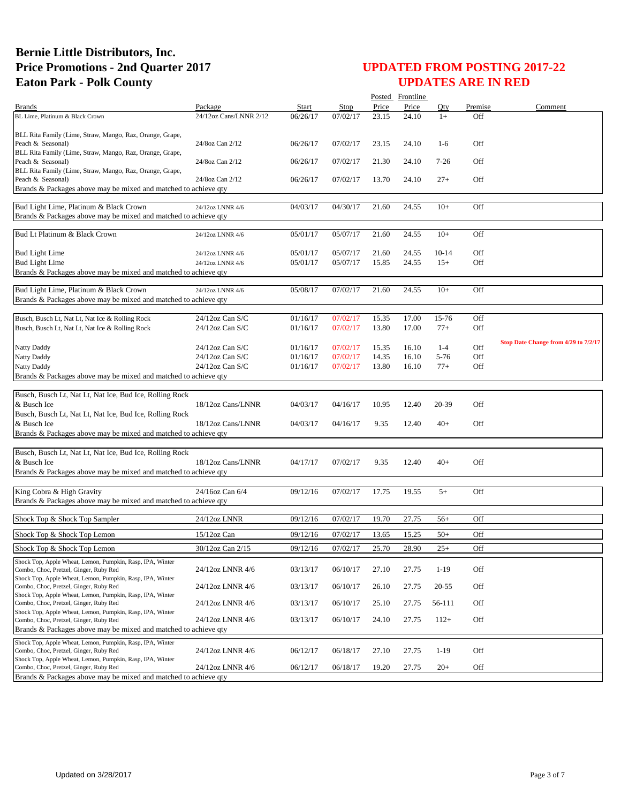|                                                                                                     |                                      |          |             |       | Posted Frontline |           |         |                                      |
|-----------------------------------------------------------------------------------------------------|--------------------------------------|----------|-------------|-------|------------------|-----------|---------|--------------------------------------|
| Brands                                                                                              | Package                              | Start    | <b>Stop</b> | Price | Price            | Qty       | Premise | Comment                              |
| BL Lime, Platinum & Black Crown                                                                     | 24/12oz Cans/LNNR 2/12               | 06/26/17 | 07/02/17    | 23.15 | 24.10            | $1+$      | Off     |                                      |
|                                                                                                     |                                      |          |             |       |                  |           |         |                                      |
| BLL Rita Family (Lime, Straw, Mango, Raz, Orange, Grape,<br>Peach & Seasonal)                       | 24/8oz Can 2/12                      | 06/26/17 | 07/02/17    | 23.15 | 24.10            | $1-6$     | Off     |                                      |
| BLL Rita Family (Lime, Straw, Mango, Raz, Orange, Grape,                                            |                                      |          |             |       |                  |           |         |                                      |
| Peach & Seasonal)                                                                                   | 24/8oz Can 2/12                      | 06/26/17 | 07/02/17    | 21.30 | 24.10            | $7-26$    | Off     |                                      |
| BLL Rita Family (Lime, Straw, Mango, Raz, Orange, Grape,                                            |                                      |          |             |       |                  |           |         |                                      |
| Peach & Seasonal)                                                                                   | 24/8oz Can 2/12                      | 06/26/17 | 07/02/17    | 13.70 | 24.10            | $27+$     | Off     |                                      |
| Brands & Packages above may be mixed and matched to achieve qty                                     |                                      |          |             |       |                  |           |         |                                      |
| Bud Light Lime, Platinum & Black Crown                                                              | 24/12oz LNNR 4/6                     | 04/03/17 | 04/30/17    | 21.60 | 24.55            | $10+$     | Off     |                                      |
| Brands & Packages above may be mixed and matched to achieve qty                                     |                                      |          |             |       |                  |           |         |                                      |
|                                                                                                     |                                      |          |             |       |                  |           |         |                                      |
| Bud Lt Platinum & Black Crown                                                                       | 24/12oz LNNR 4/6                     | 05/01/17 | 05/07/17    | 21.60 | 24.55            | $10+$     | Off     |                                      |
| <b>Bud Light Lime</b>                                                                               |                                      | 05/01/17 | 05/07/17    | 21.60 | 24.55            | $10-14$   | Off     |                                      |
| <b>Bud Light Lime</b>                                                                               | 24/12oz LNNR 4/6<br>24/12oz LNNR 4/6 | 05/01/17 | 05/07/17    | 15.85 | 24.55            | $15+$     | Off     |                                      |
| Brands & Packages above may be mixed and matched to achieve qty                                     |                                      |          |             |       |                  |           |         |                                      |
|                                                                                                     |                                      |          |             |       |                  |           |         |                                      |
| Bud Light Lime, Platinum & Black Crown                                                              | 24/12oz LNNR 4/6                     | 05/08/17 | 07/02/17    | 21.60 | 24.55            | $10+$     | Off     |                                      |
| Brands & Packages above may be mixed and matched to achieve qty                                     |                                      |          |             |       |                  |           |         |                                      |
| Busch, Busch Lt, Nat Lt, Nat Ice & Rolling Rock                                                     | $24/12$ oz Can S/C                   | 01/16/17 | 07/02/17    | 15.35 | 17.00            | 15-76     | Off     |                                      |
| Busch, Busch Lt, Nat Lt, Nat Ice & Rolling Rock                                                     | 24/12oz Can S/C                      | 01/16/17 | 07/02/17    | 13.80 | 17.00            | $77+$     | Off     |                                      |
|                                                                                                     |                                      |          |             |       |                  |           |         |                                      |
| Natty Daddy                                                                                         | $24/12$ oz Can S/C                   | 01/16/17 | 07/02/17    | 15.35 | 16.10            | $1-4$     | Off     | Stop Date Change from 4/29 to 7/2/17 |
| Natty Daddy                                                                                         | $24/12$ oz Can S/C                   | 01/16/17 | 07/02/17    | 14.35 | 16.10            | 5-76      | Off     |                                      |
| Natty Daddy                                                                                         | $24/12$ oz Can S/C                   | 01/16/17 | 07/02/17    | 13.80 | 16.10            | $77+$     | Off     |                                      |
| Brands & Packages above may be mixed and matched to achieve qty                                     |                                      |          |             |       |                  |           |         |                                      |
| Busch, Busch Lt, Nat Lt, Nat Ice, Bud Ice, Rolling Rock                                             |                                      |          |             |       |                  |           |         |                                      |
| & Busch Ice                                                                                         | 18/12oz Cans/LNNR                    | 04/03/17 | 04/16/17    | 10.95 | 12.40            | 20-39     | Off     |                                      |
| Busch, Busch Lt, Nat Lt, Nat Ice, Bud Ice, Rolling Rock                                             |                                      |          |             |       |                  |           |         |                                      |
| & Busch Ice                                                                                         | 18/12oz Cans/LNNR                    | 04/03/17 | 04/16/17    | 9.35  | 12.40            | $40+$     | Off     |                                      |
| Brands & Packages above may be mixed and matched to achieve qty                                     |                                      |          |             |       |                  |           |         |                                      |
|                                                                                                     |                                      |          |             |       |                  |           |         |                                      |
| Busch, Busch Lt, Nat Lt, Nat Ice, Bud Ice, Rolling Rock                                             |                                      |          |             |       |                  |           |         |                                      |
| & Busch Ice                                                                                         | 18/12oz Cans/LNNR                    | 04/17/17 | 07/02/17    | 9.35  | 12.40            | $40+$     | Off     |                                      |
| Brands & Packages above may be mixed and matched to achieve qty                                     |                                      |          |             |       |                  |           |         |                                      |
| King Cobra & High Gravity                                                                           | 24/16oz Can 6/4                      | 09/12/16 | 07/02/17    | 17.75 | 19.55            | $5+$      | Off     |                                      |
| Brands & Packages above may be mixed and matched to achieve qty                                     |                                      |          |             |       |                  |           |         |                                      |
|                                                                                                     |                                      |          |             |       |                  |           |         |                                      |
| Shock Top & Shock Top Sampler                                                                       | 24/12oz LNNR                         | 09/12/16 | 07/02/17    | 19.70 | 27.75            | $56+$     | Off     |                                      |
| Shock Top & Shock Top Lemon                                                                         | $15/12$ oz Can                       | 09/12/16 | 07/02/17    | 13.65 | 15.25            | $50+$     | Off     |                                      |
| Shock Top & Shock Top Lemon                                                                         | 30/12oz Can 2/15                     | 09/12/16 | 07/02/17    | 25.70 | 28.90            | $25+$     | Off     |                                      |
| Shock Top, Apple Wheat, Lemon, Pumpkin, Rasp, IPA, Winter                                           |                                      |          |             |       |                  |           |         |                                      |
| Combo, Choc, Pretzel, Ginger, Ruby Red                                                              | 24/12oz LNNR 4/6                     | 03/13/17 | 06/10/17    | 27.10 | 27.75            | $1-19$    | Off     |                                      |
| Shock Top, Apple Wheat, Lemon, Pumpkin, Rasp, IPA, Winter                                           |                                      |          |             |       |                  |           |         |                                      |
| Combo, Choc, Pretzel, Ginger, Ruby Red                                                              | 24/12oz LNNR 4/6                     | 03/13/17 | 06/10/17    | 26.10 | 27.75            | $20 - 55$ | Off     |                                      |
| Shock Top, Apple Wheat, Lemon, Pumpkin, Rasp, IPA, Winter<br>Combo, Choc, Pretzel, Ginger, Ruby Red | 24/12oz LNNR 4/6                     | 03/13/17 | 06/10/17    | 25.10 | 27.75            | 56-111    | Off     |                                      |
| Shock Top, Apple Wheat, Lemon, Pumpkin, Rasp, IPA, Winter                                           |                                      |          |             |       |                  |           |         |                                      |
| Combo, Choc, Pretzel, Ginger, Ruby Red                                                              | 24/12oz LNNR 4/6                     | 03/13/17 | 06/10/17    | 24.10 | 27.75            | $112+$    | Off     |                                      |
| Brands & Packages above may be mixed and matched to achieve qty                                     |                                      |          |             |       |                  |           |         |                                      |
| Shock Top, Apple Wheat, Lemon, Pumpkin, Rasp, IPA, Winter                                           |                                      |          |             |       |                  |           |         |                                      |
| Combo, Choc, Pretzel, Ginger, Ruby Red                                                              | 24/12oz LNNR 4/6                     | 06/12/17 | 06/18/17    | 27.10 | 27.75            | $1-19$    | Off     |                                      |
| Shock Top, Apple Wheat, Lemon, Pumpkin, Rasp, IPA, Winter<br>Combo, Choc, Pretzel, Ginger, Ruby Red | 24/12oz LNNR 4/6                     | 06/12/17 | 06/18/17    | 19.20 | 27.75            | $20+$     | Off     |                                      |
| Brands & Packages above may be mixed and matched to achieve qty                                     |                                      |          |             |       |                  |           |         |                                      |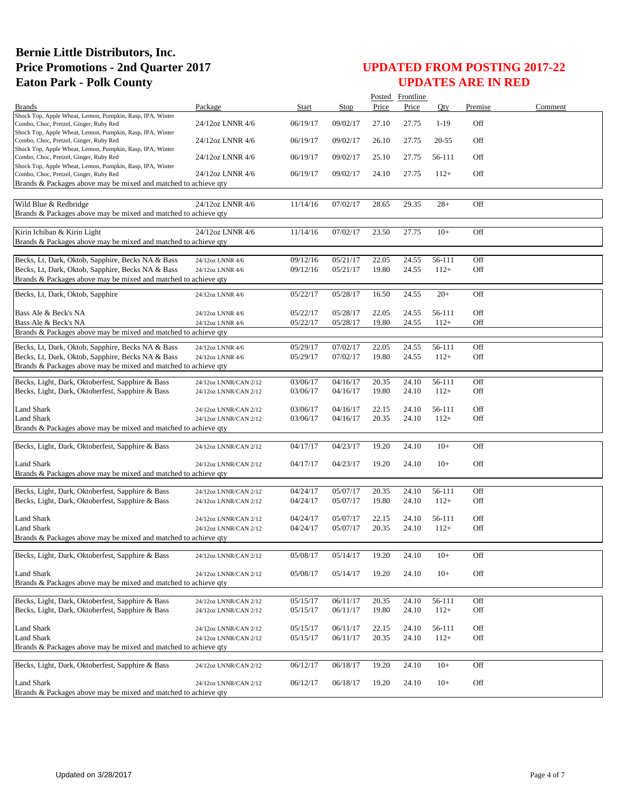|                                                                                                                                                                  |                                      |                      |                      |                | Posted Frontline |                  |            |         |
|------------------------------------------------------------------------------------------------------------------------------------------------------------------|--------------------------------------|----------------------|----------------------|----------------|------------------|------------------|------------|---------|
| <b>Brands</b>                                                                                                                                                    | Package                              | Start                | Stop                 | Price          | Price            | Oty              | Premise    | Comment |
| Shock Top, Apple Wheat, Lemon, Pumpkin, Rasp, IPA, Winter<br>Combo, Choc, Pretzel, Ginger, Ruby Red<br>Shock Top, Apple Wheat, Lemon, Pumpkin, Rasp, IPA, Winter | 24/12oz LNNR 4/6                     | 06/19/17             | 09/02/17             | 27.10          | 27.75            | $1-19$           | Off        |         |
| Combo, Choc, Pretzel, Ginger, Ruby Red<br>Shock Top, Apple Wheat, Lemon, Pumpkin, Rasp, IPA, Winter                                                              | 24/12oz LNNR 4/6                     | 06/19/17             | 09/02/17             | 26.10          | 27.75            | $20 - 55$        | Off        |         |
| Combo, Choc, Pretzel, Ginger, Ruby Red<br>Shock Top, Apple Wheat, Lemon, Pumpkin, Rasp, IPA, Winter                                                              | 24/12oz LNNR 4/6                     | 06/19/17             | 09/02/17             | 25.10          | 27.75            | 56-111           | Off        |         |
| Combo, Choc, Pretzel, Ginger, Ruby Red<br>Brands & Packages above may be mixed and matched to achieve qty                                                        | 24/12oz LNNR 4/6                     | 06/19/17             | 09/02/17             | 24.10          | 27.75            | $112+$           | Off        |         |
|                                                                                                                                                                  |                                      |                      |                      |                |                  |                  |            |         |
| Wild Blue & Redbridge<br>Brands & Packages above may be mixed and matched to achieve qty                                                                         | 24/12oz LNNR 4/6                     | 11/14/16             | 07/02/17             | 28.65          | 29.35            | $28+$            | Off        |         |
| Kirin Ichiban & Kirin Light                                                                                                                                      | 24/12oz LNNR 4/6                     | 11/14/16             | 07/02/17             | 23.50          | 27.75            | $10+$            | Off        |         |
| Brands & Packages above may be mixed and matched to achieve qty                                                                                                  |                                      |                      |                      |                |                  |                  |            |         |
| Becks, Lt, Dark, Oktob, Sapphire, Becks NA & Bass                                                                                                                | 24/12oz LNNR 4/6                     | 09/12/16             | 05/21/17             | 22.05          | 24.55            | 56-111           | Off        |         |
| Becks, Lt, Dark, Oktob, Sapphire, Becks NA & Bass                                                                                                                | 24/12oz LNNR 4/6                     | 09/12/16             | 05/21/17             | 19.80          | 24.55            | $112+$           | Off        |         |
| Brands & Packages above may be mixed and matched to achieve qty                                                                                                  |                                      |                      |                      |                |                  |                  |            |         |
| Becks, Lt, Dark, Oktob, Sapphire                                                                                                                                 | 24/12oz LNNR 4/6                     | 05/22/17             | 05/28/17             | 16.50          | 24.55            | $20+$            | Off        |         |
| Bass Ale & Beck's NA<br>Bass Ale & Beck's NA                                                                                                                     | 24/12oz LNNR 4/6<br>24/12oz LNNR 4/6 | 05/22/17<br>05/22/17 | 05/28/17<br>05/28/17 | 22.05<br>19.80 | 24.55<br>24.55   | 56-111<br>$112+$ | Off<br>Off |         |
| Brands & Packages above may be mixed and matched to achieve qty                                                                                                  |                                      |                      |                      |                |                  |                  |            |         |
| Becks, Lt, Dark, Oktob, Sapphire, Becks NA & Bass                                                                                                                |                                      | 05/29/17             | 07/02/17             | 22.05          | 24.55            | 56-111           | Off        |         |
| Becks, Lt, Dark, Oktob, Sapphire, Becks NA & Bass<br>Brands & Packages above may be mixed and matched to achieve qty                                             | 24/12oz LNNR 4/6<br>24/12oz LNNR 4/6 | 05/29/17             | 07/02/17             | 19.80          | 24.55            | $112+$           | Off        |         |
| Becks, Light, Dark, Oktoberfest, Sapphire & Bass                                                                                                                 | 24/12oz LNNR/CAN 2/12                | 03/06/17             | 04/16/17             | 20.35          | 24.10            | 56-111           | Off        |         |
| Becks, Light, Dark, Oktoberfest, Sapphire & Bass                                                                                                                 | 24/12oz LNNR/CAN 2/12                | 03/06/17             | 04/16/17             | 19.80          | 24.10            | $112+$           | Off        |         |
| Land Shark                                                                                                                                                       | 24/12oz LNNR/CAN 2/12                | 03/06/17             | 04/16/17             | 22.15          | 24.10            | 56-111           | Off        |         |
| Land Shark                                                                                                                                                       | 24/12oz LNNR/CAN 2/12                | 03/06/17             | 04/16/17             | 20.35          | 24.10            | $112+$           | Off        |         |
| Brands & Packages above may be mixed and matched to achieve qty                                                                                                  |                                      |                      |                      |                |                  |                  |            |         |
| Becks, Light, Dark, Oktoberfest, Sapphire & Bass                                                                                                                 | 24/12oz LNNR/CAN 2/12                | 04/17/17             | 04/23/17             | 19.20          | 24.10            | $10+$            | Off        |         |
| <b>Land Shark</b><br>Brands & Packages above may be mixed and matched to achieve qty                                                                             | 24/12oz LNNR/CAN 2/12                | 04/17/17             | 04/23/17             | 19.20          | 24.10            | $10+$            | Off        |         |
|                                                                                                                                                                  |                                      |                      |                      |                |                  |                  |            |         |
| Becks, Light, Dark, Oktoberfest, Sapphire & Bass                                                                                                                 | 24/12oz LNNR/CAN 2/12                | 04/24/17             | 05/07/17             | 20.35          | 24.10            | 56-111           | Off        |         |
| Becks, Light, Dark, Oktoberfest, Sapphire & Bass                                                                                                                 | 24/12oz LNNR/CAN 2/12                | 04/24/17             | 05/07/17             | 19.80          | 24.10            | $112+$           | Off        |         |
| <b>Land Shark</b>                                                                                                                                                | 24/12oz LNNR/CAN 2/12                | 04/24/17             | 05/07/17             | 22.15          | 24.10            | 56-111           | Off        |         |
| <b>Land Shark</b><br>Brands & Packages above may be mixed and matched to achieve qty                                                                             | 24/12oz LNNR/CAN 2/12                | 04/24/17             | 05/07/17             | 20.35          | 24.10            | $112+$           | Off        |         |
|                                                                                                                                                                  |                                      |                      |                      |                |                  |                  |            |         |
| Becks, Light, Dark, Oktoberfest, Sapphire & Bass                                                                                                                 | 24/12oz LNNR/CAN 2/12                | 05/08/17             | 05/14/17             | 19.20          | 24.10            | $10+$            | Off        |         |
| Land Shark                                                                                                                                                       | 24/12oz LNNR/CAN 2/12                | 05/08/17             | 05/14/17             | 19.20          | 24.10            | $10+$            | Off        |         |
| Brands & Packages above may be mixed and matched to achieve qty                                                                                                  |                                      |                      |                      |                |                  |                  |            |         |
| Becks, Light, Dark, Oktoberfest, Sapphire & Bass                                                                                                                 | 24/12oz LNNR/CAN 2/12                | 05/15/17             | 06/11/17             | 20.35          | 24.10            | 56-111           | Off        |         |
| Becks, Light, Dark, Oktoberfest, Sapphire & Bass                                                                                                                 | 24/12oz LNNR/CAN 2/12                | 05/15/17             | 06/11/17             | 19.80          | 24.10            | $112+$           | Off        |         |
| Land Shark                                                                                                                                                       | 24/12oz LNNR/CAN 2/12                | 05/15/17             | 06/11/17             | 22.15          | 24.10            | 56-111           | Off        |         |
| <b>Land Shark</b>                                                                                                                                                | 24/12oz LNNR/CAN 2/12                | 05/15/17             | 06/11/17             | 20.35          | 24.10            | $112+$           | Off        |         |
| Brands & Packages above may be mixed and matched to achieve qty                                                                                                  |                                      |                      |                      |                |                  |                  |            |         |
| Becks, Light, Dark, Oktoberfest, Sapphire & Bass                                                                                                                 | 24/12oz LNNR/CAN 2/12                | 06/12/17             | 06/18/17             | 19.20          | 24.10            | $10+$            | Off        |         |
| Land Shark                                                                                                                                                       | 24/12oz LNNR/CAN 2/12                | 06/12/17             | 06/18/17             | 19.20          | 24.10            | $10+$            | Off        |         |
| Brands & Packages above may be mixed and matched to achieve qty                                                                                                  |                                      |                      |                      |                |                  |                  |            |         |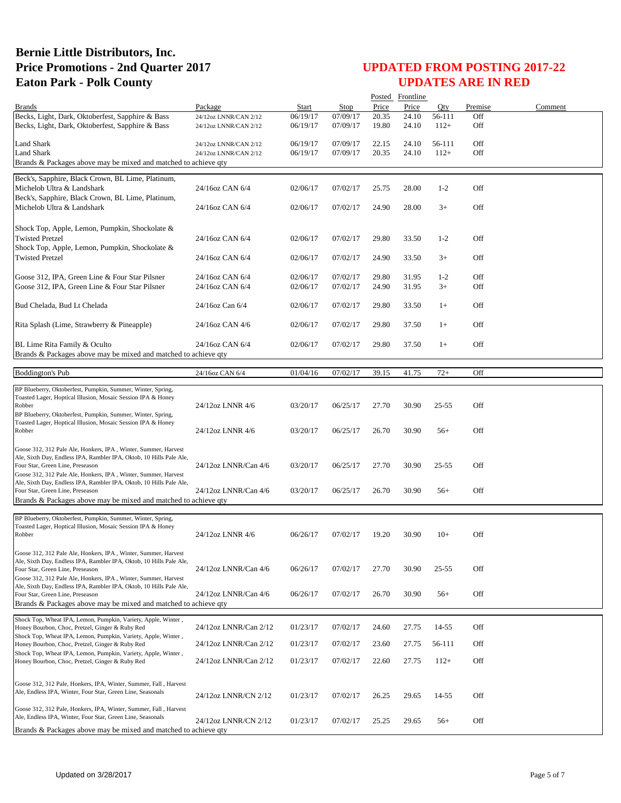|                                                                                                                                       |                       |          |          |       | Posted Frontline |           |         |         |
|---------------------------------------------------------------------------------------------------------------------------------------|-----------------------|----------|----------|-------|------------------|-----------|---------|---------|
| <b>Brands</b>                                                                                                                         | Package               | Start    | Stop     | Price | Price            | Oty       | Premise | Comment |
| Becks, Light, Dark, Oktoberfest, Sapphire & Bass                                                                                      | 24/12oz LNNR/CAN 2/12 | 06/19/17 | 07/09/17 | 20.35 | 24.10            | 56-111    | Off     |         |
| Becks, Light, Dark, Oktoberfest, Sapphire & Bass                                                                                      | 24/12oz LNNR/CAN 2/12 | 06/19/17 | 07/09/17 | 19.80 | 24.10            | $112+$    | Off     |         |
| Land Shark                                                                                                                            | 24/12oz LNNR/CAN 2/12 | 06/19/17 | 07/09/17 | 22.15 | 24.10            | 56-111    | Off     |         |
| <b>Land Shark</b>                                                                                                                     | 24/12oz LNNR/CAN 2/12 | 06/19/17 | 07/09/17 | 20.35 | 24.10            | $112+$    | Off     |         |
| Brands & Packages above may be mixed and matched to achieve qty                                                                       |                       |          |          |       |                  |           |         |         |
|                                                                                                                                       |                       |          |          |       |                  |           |         |         |
| Beck's, Sapphire, Black Crown, BL Lime, Platinum,                                                                                     |                       |          |          |       |                  |           |         |         |
| Michelob Ultra & Landshark<br>Beck's, Sapphire, Black Crown, BL Lime, Platinum,                                                       | 24/16oz CAN 6/4       | 02/06/17 | 07/02/17 | 25.75 | 28.00            | $1 - 2$   | Off     |         |
| Michelob Ultra & Landshark                                                                                                            | 24/16oz CAN 6/4       | 02/06/17 | 07/02/17 | 24.90 | 28.00            | $3+$      | Off     |         |
|                                                                                                                                       |                       |          |          |       |                  |           |         |         |
| Shock Top, Apple, Lemon, Pumpkin, Shockolate &                                                                                        |                       |          |          |       |                  |           |         |         |
| <b>Twisted Pretzel</b>                                                                                                                | 24/16oz CAN 6/4       | 02/06/17 | 07/02/17 | 29.80 | 33.50            | $1 - 2$   | Off     |         |
| Shock Top, Apple, Lemon, Pumpkin, Shockolate &                                                                                        |                       |          |          |       |                  |           |         |         |
| <b>Twisted Pretzel</b>                                                                                                                | 24/16oz CAN 6/4       | 02/06/17 | 07/02/17 | 24.90 | 33.50            | $3+$      | Off     |         |
|                                                                                                                                       |                       |          |          |       |                  |           |         |         |
| Goose 312, IPA, Green Line & Four Star Pilsner                                                                                        | 24/16oz CAN 6/4       | 02/06/17 | 07/02/17 | 29.80 | 31.95            | $1 - 2$   | Off     |         |
| Goose 312, IPA, Green Line & Four Star Pilsner                                                                                        | 24/16oz CAN 6/4       | 02/06/17 | 07/02/17 | 24.90 | 31.95            | $3+$      | Off     |         |
|                                                                                                                                       |                       |          |          |       |                  |           |         |         |
| Bud Chelada, Bud Lt Chelada                                                                                                           | 24/16oz Can 6/4       | 02/06/17 | 07/02/17 | 29.80 | 33.50            | $1+$      | Off     |         |
|                                                                                                                                       |                       |          |          |       |                  |           |         |         |
| Rita Splash (Lime, Strawberry & Pineapple)                                                                                            | 24/16oz CAN 4/6       | 02/06/17 | 07/02/17 | 29.80 | 37.50            | $1+$      | Off     |         |
|                                                                                                                                       |                       |          |          |       |                  |           |         |         |
| BL Lime Rita Family & Oculto<br>Brands & Packages above may be mixed and matched to achieve qty                                       | 24/16oz CAN 6/4       | 02/06/17 | 07/02/17 | 29.80 | 37.50            | $1+$      | Off     |         |
|                                                                                                                                       |                       |          |          |       |                  |           |         |         |
| <b>Boddington's Pub</b>                                                                                                               | 24/16oz CAN 6/4       | 01/04/16 | 07/02/17 | 39.15 | 41.75            | $72+$     | Off     |         |
|                                                                                                                                       |                       |          |          |       |                  |           |         |         |
| BP Blueberry, Oktoberfest, Pumpkin, Summer, Winter, Spring,                                                                           |                       |          |          |       |                  |           |         |         |
| Toasted Lager, Hoptical Illusion, Mosaic Session IPA & Honey<br>Robber                                                                | 24/12oz LNNR 4/6      | 03/20/17 | 06/25/17 | 27.70 | 30.90            | 25-55     | Off     |         |
| BP Blueberry, Oktoberfest, Pumpkin, Summer, Winter, Spring,                                                                           |                       |          |          |       |                  |           |         |         |
| Toasted Lager, Hoptical Illusion, Mosaic Session IPA & Honey                                                                          |                       |          |          |       |                  |           |         |         |
| Robber                                                                                                                                | 24/12oz LNNR 4/6      | 03/20/17 | 06/25/17 | 26.70 | 30.90            | $56+$     | Off     |         |
| Goose 312, 312 Pale Ale, Honkers, IPA, Winter, Summer, Harvest                                                                        |                       |          |          |       |                  |           |         |         |
| Ale, Sixth Day, Endless IPA, Rambler IPA, Oktob, 10 Hills Pale Ale,                                                                   |                       |          |          |       |                  |           |         |         |
| Four Star, Green Line, Preseason                                                                                                      | 24/12oz LNNR/Can 4/6  | 03/20/17 | 06/25/17 | 27.70 | 30.90            | $25 - 55$ | Off     |         |
| Goose 312, 312 Pale Ale, Honkers, IPA, Winter, Summer, Harvest                                                                        |                       |          |          |       |                  |           |         |         |
| Ale, Sixth Day, Endless IPA, Rambler IPA, Oktob, 10 Hills Pale Ale,<br>Four Star, Green Line, Preseason                               | 24/12oz LNNR/Can 4/6  | 03/20/17 | 06/25/17 | 26.70 | 30.90            | $56+$     | Off     |         |
| Brands & Packages above may be mixed and matched to achieve qty                                                                       |                       |          |          |       |                  |           |         |         |
|                                                                                                                                       |                       |          |          |       |                  |           |         |         |
| BP Blueberry, Oktoberfest, Pumpkin, Summer, Winter, Spring,                                                                           |                       |          |          |       |                  |           |         |         |
| Toasted Lager, Hoptical Illusion, Mosaic Session IPA & Honey<br>Robber                                                                | 24/12oz LNNR 4/6      | 06/26/17 | 07/02/17 | 19.20 | 30.90            | $10+$     | Off     |         |
|                                                                                                                                       |                       |          |          |       |                  |           |         |         |
| Goose 312, 312 Pale Ale, Honkers, IPA, Winter, Summer, Harvest                                                                        |                       |          |          |       |                  |           |         |         |
| Ale, Sixth Day, Endless IPA, Rambler IPA, Oktob, 10 Hills Pale Ale,                                                                   |                       |          |          |       |                  |           |         |         |
| Four Star, Green Line, Preseason                                                                                                      | 24/12oz LNNR/Can 4/6  | 06/26/17 | 07/02/17 | 27.70 | 30.90            | 25-55     | Off     |         |
| Goose 312, 312 Pale Ale, Honkers, IPA, Winter, Summer, Harvest<br>Ale, Sixth Day, Endless IPA, Rambler IPA, Oktob, 10 Hills Pale Ale, |                       |          |          |       |                  |           |         |         |
| Four Star, Green Line, Preseason                                                                                                      | 24/12oz LNNR/Can 4/6  | 06/26/17 | 07/02/17 | 26.70 | 30.90            | $56+$     | Off     |         |
| Brands & Packages above may be mixed and matched to achieve qty                                                                       |                       |          |          |       |                  |           |         |         |
| Shock Top, Wheat IPA, Lemon, Pumpkin, Variety, Apple, Winter,                                                                         |                       |          |          |       |                  |           |         |         |
| Honey Bourbon, Choc, Pretzel, Ginger & Ruby Red                                                                                       | 24/12oz LNNR/Can 2/12 | 01/23/17 | 07/02/17 | 24.60 | 27.75            | 14-55     | Off     |         |
| Shock Top, Wheat IPA, Lemon, Pumpkin, Variety, Apple, Winter,                                                                         |                       |          |          |       |                  |           |         |         |
| Honey Bourbon, Choc, Pretzel, Ginger & Ruby Red                                                                                       | 24/12oz LNNR/Can 2/12 | 01/23/17 | 07/02/17 | 23.60 | 27.75            | 56-111    | Off     |         |
| Shock Top, Wheat IPA, Lemon, Pumpkin, Variety, Apple, Winter,<br>Honey Bourbon, Choc, Pretzel, Ginger & Ruby Red                      | 24/12oz LNNR/Can 2/12 | 01/23/17 | 07/02/17 | 22.60 | 27.75            | $112+$    | Off     |         |
|                                                                                                                                       |                       |          |          |       |                  |           |         |         |
|                                                                                                                                       |                       |          |          |       |                  |           |         |         |
| Goose 312, 312 Pale, Honkers, IPA, Winter, Summer, Fall, Harvest<br>Ale, Endless IPA, Winter, Four Star, Green Line, Seasonals        |                       |          |          |       |                  |           |         |         |
|                                                                                                                                       | 24/12oz LNNR/CN 2/12  | 01/23/17 | 07/02/17 | 26.25 | 29.65            | 14-55     | Off     |         |
| Goose 312, 312 Pale, Honkers, IPA, Winter, Summer, Fall, Harvest                                                                      |                       |          |          |       |                  |           |         |         |
| Ale, Endless IPA, Winter, Four Star, Green Line, Seasonals                                                                            | 24/12oz LNNR/CN 2/12  | 01/23/17 | 07/02/17 | 25.25 | 29.65            | $56+$     | Off     |         |
| Brands & Packages above may be mixed and matched to achieve qty                                                                       |                       |          |          |       |                  |           |         |         |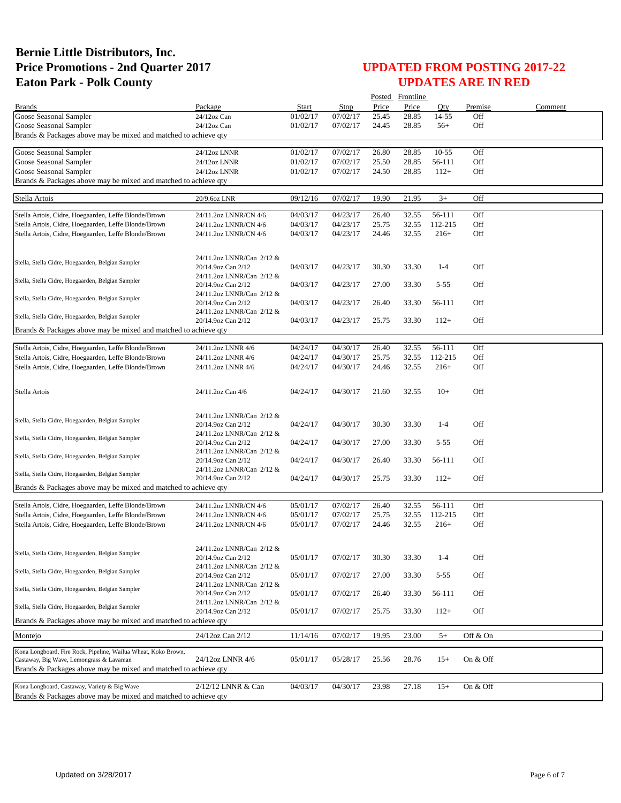|                                                                                                              |                                                 |                      |                      |       | Posted Frontline |                   |            |         |
|--------------------------------------------------------------------------------------------------------------|-------------------------------------------------|----------------------|----------------------|-------|------------------|-------------------|------------|---------|
| <b>Brands</b>                                                                                                | Package                                         | Start                | Stop                 | Price | Price            | Qty               | Premise    | Comment |
| Goose Seasonal Sampler                                                                                       | 24/12oz Can                                     | 01/02/17             | 07/02/17             | 25.45 | 28.85            | 14-55             | Off        |         |
| Goose Seasonal Sampler<br>Brands & Packages above may be mixed and matched to achieve qty                    | 24/12oz Can                                     | 01/02/17             | 07/02/17             | 24.45 | 28.85            | $56+$             | Off        |         |
|                                                                                                              |                                                 |                      |                      |       |                  |                   |            |         |
| Goose Seasonal Sampler                                                                                       | 24/12oz LNNR                                    | 01/02/17             | 07/02/17             | 26.80 | 28.85            | $10 - 55$         | Off        |         |
| Goose Seasonal Sampler                                                                                       | 24/12oz LNNR                                    | 01/02/17             | 07/02/17             | 25.50 | 28.85            | 56-111            | Off        |         |
| Goose Seasonal Sampler                                                                                       | 24/12oz LNNR                                    | 01/02/17             | 07/02/17             | 24.50 | 28.85            | $112+$            | Off        |         |
| Brands & Packages above may be mixed and matched to achieve qty                                              |                                                 |                      |                      |       |                  |                   |            |         |
| Stella Artois                                                                                                | 20/9.6oz LNR                                    | 09/12/16             | 07/02/17             | 19.90 | 21.95            | $3+$              | Off        |         |
|                                                                                                              |                                                 |                      |                      |       |                  |                   |            |         |
| Stella Artois, Cidre, Hoegaarden, Leffe Blonde/Brown                                                         | 24/11.2oz LNNR/CN 4/6                           | 04/03/17             | 04/23/17             | 26.40 | 32.55            | 56-111            | Off        |         |
| Stella Artois, Cidre, Hoegaarden, Leffe Blonde/Brown<br>Stella Artois, Cidre, Hoegaarden, Leffe Blonde/Brown | 24/11.2oz LNNR/CN 4/6                           | 04/03/17<br>04/03/17 | 04/23/17<br>04/23/17 | 25.75 | 32.55            | 112-215<br>$216+$ | Off<br>Off |         |
|                                                                                                              | 24/11.2oz LNNR/CN 4/6                           |                      |                      | 24.46 | 32.55            |                   |            |         |
|                                                                                                              |                                                 |                      |                      |       |                  |                   |            |         |
| Stella, Stella Cidre, Hoegaarden, Belgian Sampler                                                            | 24/11.2oz LNNR/Can 2/12 &                       |                      |                      |       |                  |                   |            |         |
|                                                                                                              | 20/14.9oz Can 2/12<br>24/11.2oz LNNR/Can 2/12 & | 04/03/17             | 04/23/17             | 30.30 | 33.30            | $1-4$             | Off        |         |
| Stella, Stella Cidre, Hoegaarden, Belgian Sampler                                                            | 20/14.9oz Can 2/12                              | 04/03/17             | 04/23/17             | 27.00 | 33.30            | $5 - 55$          | Off        |         |
|                                                                                                              | 24/11.2oz LNNR/Can 2/12 &                       |                      |                      |       |                  |                   |            |         |
| Stella, Stella Cidre, Hoegaarden, Belgian Sampler                                                            | 20/14.9oz Can 2/12                              | 04/03/17             | 04/23/17             | 26.40 | 33.30            | 56-111            | Off        |         |
| Stella, Stella Cidre, Hoegaarden, Belgian Sampler                                                            | 24/11.2oz LNNR/Can 2/12 &                       |                      |                      |       |                  |                   |            |         |
|                                                                                                              | 20/14.9oz Can 2/12                              | 04/03/17             | 04/23/17             | 25.75 | 33.30            | $112+$            | Off        |         |
| Brands & Packages above may be mixed and matched to achieve qty                                              |                                                 |                      |                      |       |                  |                   |            |         |
| Stella Artois, Cidre, Hoegaarden, Leffe Blonde/Brown                                                         | 24/11.2oz LNNR 4/6                              | 04/24/17             | 04/30/17             | 26.40 | 32.55            | 56-111            | Off        |         |
| Stella Artois, Cidre, Hoegaarden, Leffe Blonde/Brown                                                         | 24/11.2oz LNNR 4/6                              | 04/24/17             | 04/30/17             | 25.75 | 32.55            | 112-215           | Off        |         |
| Stella Artois, Cidre, Hoegaarden, Leffe Blonde/Brown                                                         | 24/11.2oz LNNR 4/6                              | 04/24/17             | 04/30/17             | 24.46 | 32.55            | $216+$            | Off        |         |
|                                                                                                              |                                                 |                      |                      |       |                  |                   |            |         |
| Stella Artois                                                                                                | 24/11.2oz Can 4/6                               | 04/24/17             | 04/30/17             | 21.60 | 32.55            | $10+$             | Off        |         |
|                                                                                                              |                                                 |                      |                      |       |                  |                   |            |         |
|                                                                                                              | 24/11.2oz LNNR/Can 2/12 &                       |                      |                      |       |                  |                   |            |         |
| Stella, Stella Cidre, Hoegaarden, Belgian Sampler                                                            | 20/14.9oz Can 2/12                              | 04/24/17             | 04/30/17             | 30.30 | 33.30            | $1-4$             | Off        |         |
|                                                                                                              | 24/11.2oz LNNR/Can 2/12 &                       |                      |                      |       |                  |                   |            |         |
| Stella, Stella Cidre, Hoegaarden, Belgian Sampler                                                            | 20/14.9oz Can 2/12                              | 04/24/17             | 04/30/17             | 27.00 | 33.30            | $5 - 55$          | Off        |         |
| Stella, Stella Cidre, Hoegaarden, Belgian Sampler                                                            | 24/11.2oz LNNR/Can 2/12 &                       |                      |                      |       |                  |                   |            |         |
|                                                                                                              | 20/14.9oz Can 2/12                              | 04/24/17             | 04/30/17             | 26.40 | 33.30            | 56-111            | Off        |         |
| Stella, Stella Cidre, Hoegaarden, Belgian Sampler                                                            | 24/11.2oz LNNR/Can 2/12 &<br>20/14.9oz Can 2/12 | 04/24/17             | 04/30/17             | 25.75 | 33.30            | $112+$            | Off        |         |
| Brands & Packages above may be mixed and matched to achieve qty                                              |                                                 |                      |                      |       |                  |                   |            |         |
|                                                                                                              |                                                 |                      |                      |       |                  |                   |            |         |
| Stella Artois, Cidre, Hoegaarden, Leffe Blonde/Brown                                                         | 24/11.2oz LNNR/CN 4/6                           | 05/01/17             | 07/02/17             | 26.40 | 32.55            | 56-111            | Off        |         |
| Stella Artois, Cidre, Hoegaarden, Leffe Blonde/Brown                                                         | 24/11.2oz LNNR/CN 4/6                           | 05/01/17             | 07/02/17             | 25.75 | 32.55            | 112-215           | Off        |         |
| Stella Artois, Cidre, Hoegaarden, Leffe Blonde/Brown                                                         | 24/11.2oz LNNR/CN 4/6                           | 05/01/17             | 07/02/17             | 24.46 | 32.55            | $216+$            | Off        |         |
|                                                                                                              |                                                 |                      |                      |       |                  |                   |            |         |
| Stella, Stella Cidre, Hoegaarden, Belgian Sampler                                                            | 24/11.2oz LNNR/Can 2/12 &                       |                      |                      |       |                  |                   |            |         |
|                                                                                                              | 20/14.9oz Can 2/12                              | 05/01/17             | 07/02/17             | 30.30 | 33.30            | $1 - 4$           | Off        |         |
| Stella, Stella Cidre, Hoegaarden, Belgian Sampler                                                            | 24/11.2oz LNNR/Can 2/12 &<br>20/14.9oz Can 2/12 | 05/01/17             | 07/02/17             | 27.00 | 33.30            | $5 - 55$          | Off        |         |
|                                                                                                              | 24/11.2oz LNNR/Can 2/12 &                       |                      |                      |       |                  |                   |            |         |
| Stella, Stella Cidre, Hoegaarden, Belgian Sampler                                                            | 20/14.9oz Can 2/12                              | 05/01/17             | 07/02/17             | 26.40 | 33.30            | 56-111            | Off        |         |
| Stella, Stella Cidre, Hoegaarden, Belgian Sampler                                                            | 24/11.2oz LNNR/Can 2/12 &                       |                      |                      |       |                  |                   |            |         |
|                                                                                                              | 20/14.9oz Can 2/12                              | 05/01/17             | 07/02/17             | 25.75 | 33.30            | $112+$            | Off        |         |
| Brands & Packages above may be mixed and matched to achieve qty                                              |                                                 |                      |                      |       |                  |                   |            |         |
| Montejo                                                                                                      | 24/12oz Can 2/12                                | 11/14/16             | 07/02/17             | 19.95 | 23.00            | $5+$              | Off & On   |         |
| Kona Longboard, Fire Rock, Pipeline, Wailua Wheat, Koko Brown,                                               |                                                 |                      |                      |       |                  |                   |            |         |
| Castaway, Big Wave, Lemongrass & Lavaman                                                                     | 24/12oz LNNR 4/6                                | 05/01/17             | 05/28/17             | 25.56 | 28.76            | $15+$             | On & Off   |         |
| Brands & Packages above may be mixed and matched to achieve qty                                              |                                                 |                      |                      |       |                  |                   |            |         |
|                                                                                                              |                                                 |                      |                      |       |                  |                   |            |         |
| Kona Longboard, Castaway, Variety & Big Wave                                                                 | 2/12/12 LNNR & Can                              | 04/03/17             | 04/30/17             | 23.98 | 27.18            | $15+$             | On & Off   |         |
| Brands & Packages above may be mixed and matched to achieve qty                                              |                                                 |                      |                      |       |                  |                   |            |         |